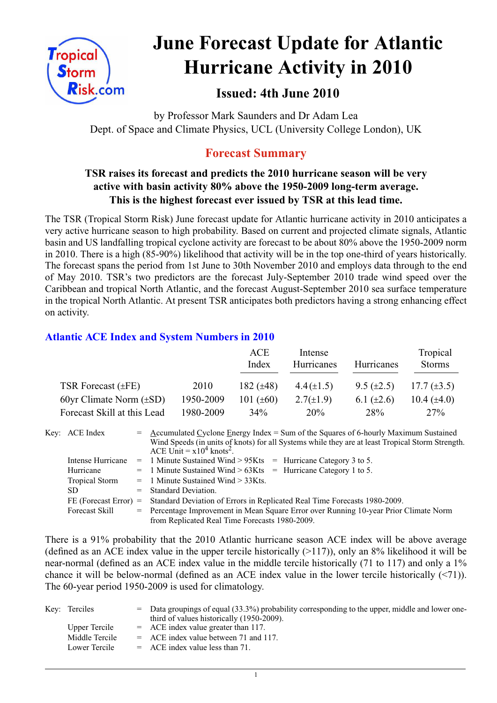

# **June Forecast Update for Atlantic Hurricane Activity in 2010**

# **Issued: 4th June 2010**

by Professor Mark Saunders and Dr Adam Lea Dept. of Space and Climate Physics, UCL (University College London), UK

# **Forecast Summary**

## **TSR raises its forecast and predicts the 2010 hurricane season will be very active with basin activity 80% above the 1950-2009 long-term average. This is the highest forecast ever issued by TSR at this lead time.**

The TSR (Tropical Storm Risk) June forecast update for Atlantic hurricane activity in 2010 anticipates a very active hurricane season to high probability. Based on current and projected climate signals, Atlantic basin and US landfalling tropical cyclone activity are forecast to be about 80% above the 1950-2009 norm in 2010. There is a high (85-90%) likelihood that activity will be in the top one-third of years historically. The forecast spans the period from 1st June to 30th November 2010 and employs data through to the end of May 2010. TSR's two predictors are the forecast July-September 2010 trade wind speed over the Caribbean and tropical North Atlantic, and the forecast August-September 2010 sea surface temperature in the tropical North Atlantic. At present TSR anticipates both predictors having a strong enhancing effect on activity.

### **Atlantic ACE Index and System Numbers in 2010**

|                              |           | ACE<br>Index   | Intense<br>Hurricanes | Hurricanes        | Tropical<br><b>Storms</b> |
|------------------------------|-----------|----------------|-----------------------|-------------------|---------------------------|
| TSR Forecast $(\pm FE)$      | 2010      | 182 $(\pm 48)$ | $4.4(\pm 1.5)$        | $9.5 \ (\pm 2.5)$ | 17.7 $(\pm 3.5)$          |
| 60yr Climate Norm $(\pm SD)$ | 1950-2009 | 101 $(\pm 60)$ | $2.7(\pm 1.9)$        | 6.1 $(\pm 2.6)$   | 10.4 $(\pm 4.0)$          |
| Forecast Skill at this Lead  | 1980-2009 | $34\%$         | 20%                   | 28 <sup>%</sup>   | 27%                       |

| Key: ACE Index          | $=$ Accumulated Cyclone Energy Index = Sum of the Squares of 6-hourly Maximum Sustained<br>Wind Speeds (in units of knots) for all Systems while they are at least Tropical Storm Strength.<br>ACE Unit = $x10^4$ knots <sup>2</sup> . |  |  |  |  |
|-------------------------|----------------------------------------------------------------------------------------------------------------------------------------------------------------------------------------------------------------------------------------|--|--|--|--|
| Intense Hurricane       | $=$ 1 Minute Sustained Wind > 95Kts $=$ Hurricane Category 3 to 5.                                                                                                                                                                     |  |  |  |  |
| Hurricane               | $=$ 1 Minute Sustained Wind > 63Kts = Hurricane Category 1 to 5.                                                                                                                                                                       |  |  |  |  |
| Tropical Storm          | $=$ 1 Minute Sustained Wind $>$ 33Kts.                                                                                                                                                                                                 |  |  |  |  |
| SD.                     | $=$ Standard Deviation.                                                                                                                                                                                                                |  |  |  |  |
| $FE$ (Forecast Error) = | Standard Deviation of Errors in Replicated Real Time Forecasts 1980-2009.                                                                                                                                                              |  |  |  |  |
| Forecast Skill          | = Percentage Improvement in Mean Square Error over Running 10-year Prior Climate Norm                                                                                                                                                  |  |  |  |  |
|                         | from Replicated Real Time Forecasts 1980-2009.                                                                                                                                                                                         |  |  |  |  |

There is a 91% probability that the 2010 Atlantic hurricane season ACE index will be above average (defined as an ACE index value in the upper tercile historically (>117)), only an 8% likelihood it will be near-normal (defined as an ACE index value in the middle tercile historically (71 to 117) and only a 1% chance it will be below-normal (defined as an ACE index value in the lower tercile historically (<71)). The 60-year period 1950-2009 is used for climatology.

| Key: Terciles  | $=$ Data groupings of equal (33.3%) probability corresponding to the upper, middle and lower one-<br>third of values historically (1950-2009). |
|----------------|------------------------------------------------------------------------------------------------------------------------------------------------|
| Upper Tercile  | $=$ ACE index value greater than 117.                                                                                                          |
| Middle Tercile | $=$ ACE index value between 71 and 117.                                                                                                        |
| Lower Tercile  | $=$ ACE index value less than 71.                                                                                                              |

1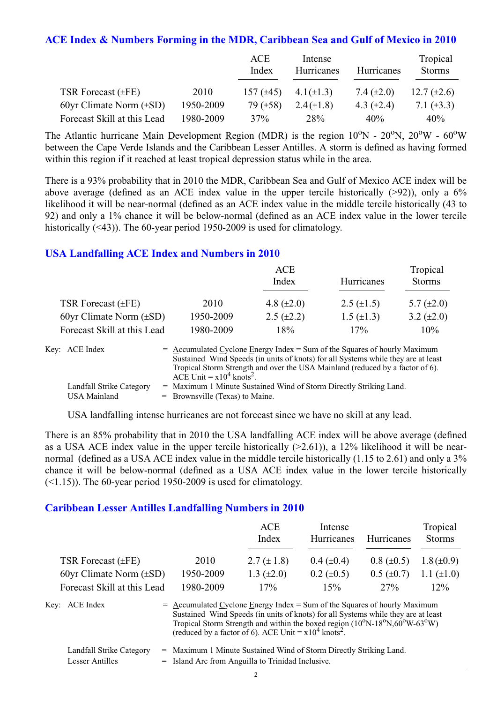#### **ACE Index & Numbers Forming in the MDR, Caribbean Sea and Gulf of Mexico in 2010**

|                              |           | ACE<br>Index   | Intense<br>Hurricanes | Hurricanes      | Tropical<br><b>Storms</b> |
|------------------------------|-----------|----------------|-----------------------|-----------------|---------------------------|
| TSR Forecast $(\pm FE)$      | 2010      | $157 (\pm 45)$ | $4.1(\pm 1.3)$        | 7.4 $(\pm 2.0)$ | 12.7 $(\pm 2.6)$          |
| 60yr Climate Norm $(\pm SD)$ | 1950-2009 | 79 $(\pm 58)$  | $2.4(\pm 1.8)$        | 4.3 $(\pm 2.4)$ | 7.1 $(\pm 3.3)$           |
| Forecast Skill at this Lead  | 1980-2009 | 37%            | 28%                   | 40%             | 40%                       |

The Atlantic hurricane Main Development Region (MDR) is the region  $10^{\circ}$ N -  $20^{\circ}$ N,  $20^{\circ}$ W -  $60^{\circ}$ W between the Cape Verde Islands and the Caribbean Lesser Antilles. A storm is defined as having formed within this region if it reached at least tropical depression status while in the area.

There is a 93% probability that in 2010 the MDR, Caribbean Sea and Gulf of Mexico ACE index will be above average (defined as an ACE index value in the upper tercile historically  $(>92)$ ), only a 6% likelihood it will be near-normal (defined as an ACE index value in the middle tercile historically (43 to 92) and only a 1% chance it will be below-normal (defined as an ACE index value in the lower tercile historically (<43)). The 60-year period 1950-2009 is used for climatology.

#### **USA Landfalling ACE Index and Numbers in 2010**

|                              |           | ACE<br>Index      | Hurricanes        | Tropical<br><b>Storms</b> |
|------------------------------|-----------|-------------------|-------------------|---------------------------|
| TSR Forecast $(\pm FE)$      | 2010      | 4.8 $(\pm 2.0)$   | 2.5 $(\pm 1.5)$   | 5.7 $(\pm 2.0)$           |
| 60yr Climate Norm $(\pm SD)$ | 1950-2009 | $2.5 \ (\pm 2.2)$ | $1.5 \ (\pm 1.3)$ | 3.2 $(\pm 2.0)$           |
| Forecast Skill at this Lead  | 1980-2009 | 18%               | 17%               | 10%                       |

| Key: ACE Index           | $=$ Accumulated Cyclone Energy Index $=$ Sum of the Squares of hourly Maximum     |
|--------------------------|-----------------------------------------------------------------------------------|
|                          | Sustained Wind Speeds (in units of knots) for all Systems while they are at least |
|                          | Tropical Storm Strength and over the USA Mainland (reduced by a factor of 6).     |
|                          | ACE Unit = $x10^4$ knots <sup>2</sup> .                                           |
| Landfall Strike Category | = Maximum 1 Minute Sustained Wind of Storm Directly Striking Land.                |
| <b>USA Mainland</b>      | $=$ Brownsville (Texas) to Maine.                                                 |

USA landfalling intense hurricanes are not forecast since we have no skill at any lead.

There is an 85% probability that in 2010 the USA landfalling ACE index will be above average (defined as a USA ACE index value in the upper tercile historically  $(>2.61)$ ), a 12% likelihood it will be nearnormal (defined as a USA ACE index value in the middle tercile historically (1.15 to 2.61) and only a 3% chance it will be below-normal (defined as a USA ACE index value in the lower tercile historically  $(\leq 1.15)$ ). The 60-year period 1950-2009 is used for climatology.

#### **Caribbean Lesser Antilles Landfalling Numbers in 2010**

|                              |                                                                                                                                                                  | ACE<br>Index                                                                                            | Intense<br>Hurricanes | Hurricanes      | Tropical<br><b>Storms</b> |
|------------------------------|------------------------------------------------------------------------------------------------------------------------------------------------------------------|---------------------------------------------------------------------------------------------------------|-----------------------|-----------------|---------------------------|
| TSR Forecast $(\pm FE)$      | 2010                                                                                                                                                             | 2.7 $(\pm 1.8)$                                                                                         | $0.4~(\pm 0.4)$       | $0.8 (\pm 0.5)$ | $1.8 (\pm 0.9)$           |
| 60yr Climate Norm $(\pm SD)$ | 1950-2009                                                                                                                                                        | 1.3 $(\pm 2.0)$                                                                                         | $0.2 \ (\pm 0.5)$     | $0.5 (\pm 0.7)$ | 1.1 $(\pm 1.0)$           |
| Forecast Skill at this Lead  | 1980-2009                                                                                                                                                        | 17%                                                                                                     | 15%                   | 27%             | $12\%$                    |
| Key: ACE Index               | $=$ Accumulated Cyclone Energy Index = Sum of the Squares of hourly Maximum<br>Sustained Wind Speeds (in units of knots) for all Systems while they are at least | Tropical Storm Strength and within the boxed region $(10^{\circ}N-18^{\circ}N,60^{\circ}W-63^{\circ}W)$ |                       |                 |                           |

| Landfall Strike Category | = Maximum 1 Minute Sustained Wind of Storm Directly Striking Land. |
|--------------------------|--------------------------------------------------------------------|
| Lesser Antilles          | = Island Arc from Anguilla to Trinidad Inclusive.                  |

(reduced by a factor of 6). ACE Unit =  $x10^4$  knots<sup>2</sup>.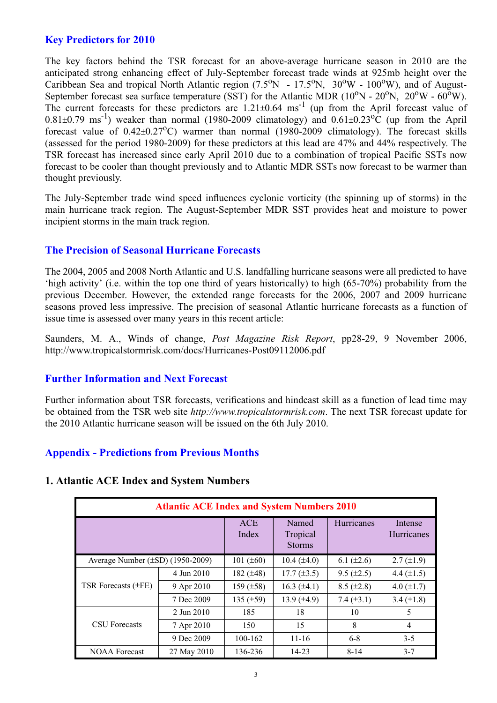#### **Key Predictors for 2010**

The key factors behind the TSR forecast for an above-average hurricane season in 2010 are the anticipated strong enhancing effect of July-September forecast trade winds at 925mb height over the Caribbean Sea and tropical North Atlantic region (7.5°N - 17.5°N, 30°W - 100°W), and of August-September forecast sea surface temperature (SST) for the Atlantic MDR ( $10^{\circ}$ N -  $20^{\circ}$ N,  $20^{\circ}$ W -  $60^{\circ}$ W). The current forecasts for these predictors are  $1.21 \pm 0.64$  ms<sup>-1</sup> (up from the April forecast value of  $0.81\pm0.79$  ms<sup>-1</sup>) weaker than normal (1980-2009 climatology) and  $0.61\pm0.23$ °C (up from the April forecast value of  $0.42 \pm 0.27$ °C) warmer than normal (1980-2009 climatology). The forecast skills (assessed for the period 1980-2009) for these predictors at this lead are 47% and 44% respectively. The TSR forecast has increased since early April 2010 due to a combination of tropical Pacific SSTs now forecast to be cooler than thought previously and to Atlantic MDR SSTs now forecast to be warmer than thought previously.

The July-September trade wind speed influences cyclonic vorticity (the spinning up of storms) in the main hurricane track region. The August-September MDR SST provides heat and moisture to power incipient storms in the main track region.

#### **The Precision of Seasonal Hurricane Forecasts**

The 2004, 2005 and 2008 North Atlantic and U.S. landfalling hurricane seasons were all predicted to have 'high activity' (i.e. within the top one third of years historically) to high (65-70%) probability from the previous December. However, the extended range forecasts for the 2006, 2007 and 2009 hurricane seasons proved less impressive. The precision of seasonal Atlantic hurricane forecasts as a function of issue time is assessed over many years in this recent article:

Saunders, M. A., Winds of change, *Post Magazine Risk Report*, pp28-29, 9 November 2006, http://www.tropicalstormrisk.com/docs/Hurricanes-Post09112006.pdf

#### **Further Information and Next Forecast**

Further information about TSR forecasts, verifications and hindcast skill as a function of lead time may be obtained from the TSR web site *http://www.tropicalstormrisk.com*. The next TSR forecast update for the 2010 Atlantic hurricane season will be issued on the 6th July 2010.

#### **Appendix - Predictions from Previous Months**

#### **1. Atlantic ACE Index and System Numbers**

| <b>Atlantic ACE Index and System Numbers 2010</b> |                     |                                    |                  |                              |                   |  |  |
|---------------------------------------------------|---------------------|------------------------------------|------------------|------------------------------|-------------------|--|--|
|                                                   | <b>ACE</b><br>Index | Named<br>Tropical<br><b>Storms</b> | Hurricanes       | Intense<br><b>Hurricanes</b> |                   |  |  |
| Average Number $(\pm SD)$ (1950-2009)             |                     | 101 $(\pm 60)$                     | $10.4 (\pm 4.0)$ | $6.1 (\pm 2.6)$              | $2.7 \ (\pm 1.9)$ |  |  |
| TSR Forecasts (±FE)                               | 4 Jun 2010          | 182 $(\pm 48)$                     | $17.7 (\pm 3.5)$ | $9.5 (\pm 2.5)$              | 4.4 $(\pm 1.5)$   |  |  |
|                                                   | 9 Apr 2010          | 159 $(\pm 58)$                     | $16.3 (\pm 4.1)$ | $8.5 (\pm 2.8)$              | 4.0 $(\pm 1.7)$   |  |  |
|                                                   | 7 Dec 2009          | 135 $(\pm 59)$                     | 13.9 $(\pm 4.9)$ | 7.4 $(\pm 3.1)$              | $3.4 \ (\pm 1.8)$ |  |  |
| <b>CSU</b> Forecasts                              | 2 Jun 2010          | 185                                | 18               | 10                           | 5                 |  |  |
|                                                   | 7 Apr 2010          | 150                                | 15               | 8                            | $\overline{4}$    |  |  |
|                                                   | 9 Dec 2009          | 100-162                            | $11 - 16$        | $6 - 8$                      | $3 - 5$           |  |  |
| <b>NOAA</b> Forecast                              | 27 May 2010         | 136-236                            | 14-23            | $8 - 14$                     | $3 - 7$           |  |  |